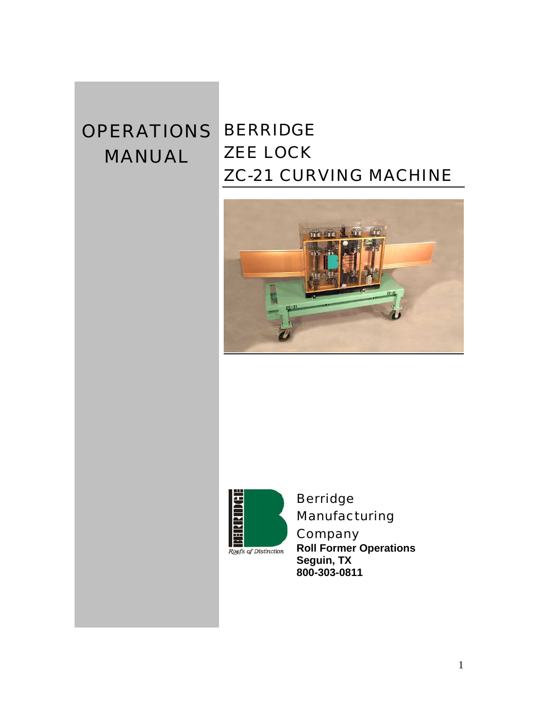# OPERATIONS BERRIDGE **MANUAL**

# ZEE LOCK ZC-21 CURVING MACHINE





Berridge Manufacturing **Company** 

**Roll Former Operations Seguin, TX 800-303-0811**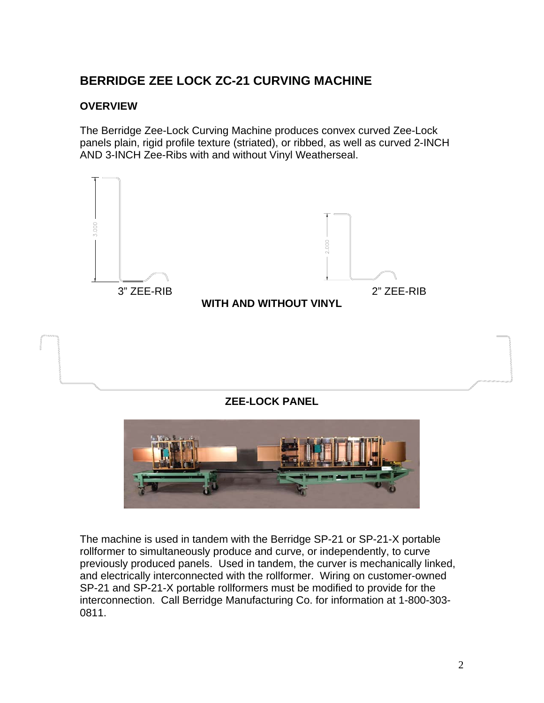## **BERRIDGE ZEE LOCK ZC-21 CURVING MACHINE**

#### **OVERVIEW**

The Berridge Zee-Lock Curving Machine produces convex curved Zee-Lock panels plain, rigid profile texture (striated), or ribbed, as well as curved 2-INCH AND 3-INCH Zee-Ribs with and without Vinyl Weatherseal.



#### **ZEE-LOCK PANEL**



The machine is used in tandem with the Berridge SP-21 or SP-21-X portable rollformer to simultaneously produce and curve, or independently, to curve previously produced panels. Used in tandem, the curver is mechanically linked, and electrically interconnected with the rollformer. Wiring on customer-owned SP-21 and SP-21-X portable rollformers must be modified to provide for the interconnection. Call Berridge Manufacturing Co. for information at 1-800-303- 0811.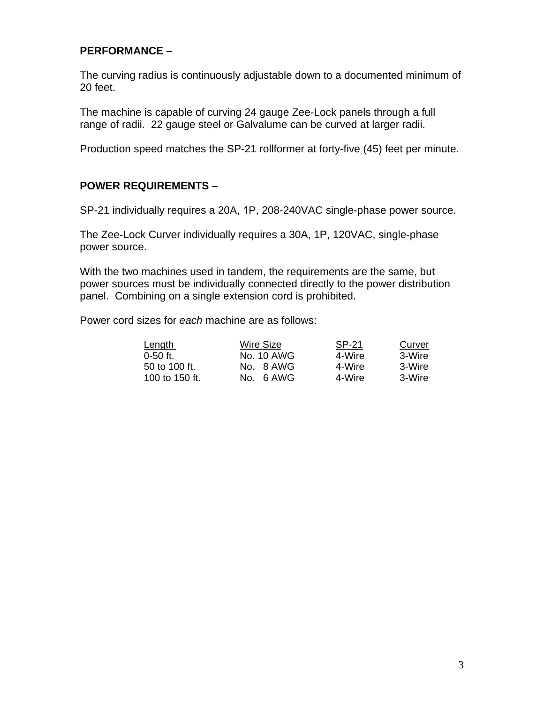#### **PERFORMANCE –**

The curving radius is continuously adjustable down to a documented minimum of 20 feet.

The machine is capable of curving 24 gauge Zee-Lock panels through a full range of radii. 22 gauge steel or Galvalume can be curved at larger radii.

Production speed matches the SP-21 rollformer at forty-five (45) feet per minute.

#### **POWER REQUIREMENTS –**

SP-21 individually requires a 20A, 1P, 208-240VAC single-phase power source.

The Zee-Lock Curver individually requires a 30A, 1P, 120VAC, single-phase power source.

With the two machines used in tandem, the requirements are the same, but power sources must be individually connected directly to the power distribution panel. Combining on a single extension cord is prohibited.

Power cord sizes for *each* machine are as follows:

| Length         | Wire Size  | SP-21  | Curver |
|----------------|------------|--------|--------|
| $0-50$ ft.     | No. 10 AWG | 4-Wire | 3-Wire |
| 50 to 100 ft.  | No. 8 AWG  | 4-Wire | 3-Wire |
| 100 to 150 ft. | No. 6 AWG  | 4-Wire | 3-Wire |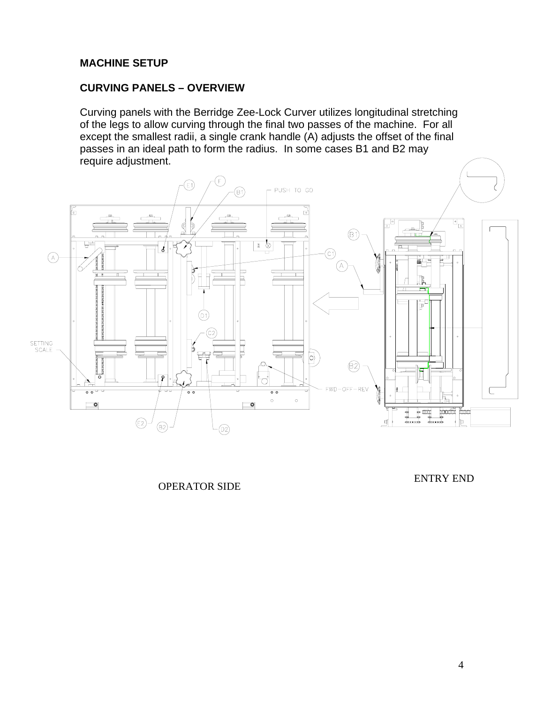#### **MACHINE SETUP**

#### **CURVING PANELS – OVERVIEW**

Curving panels with the Berridge Zee-Lock Curver utilizes longitudinal stretching of the legs to allow curving through the final two passes of the machine. For all except the smallest radii, a single crank handle (A) adjusts the offset of the final passes in an ideal path to form the radius. In some cases B1 and B2 may require adjustment.



OPERATOR SIDE

ENTRY END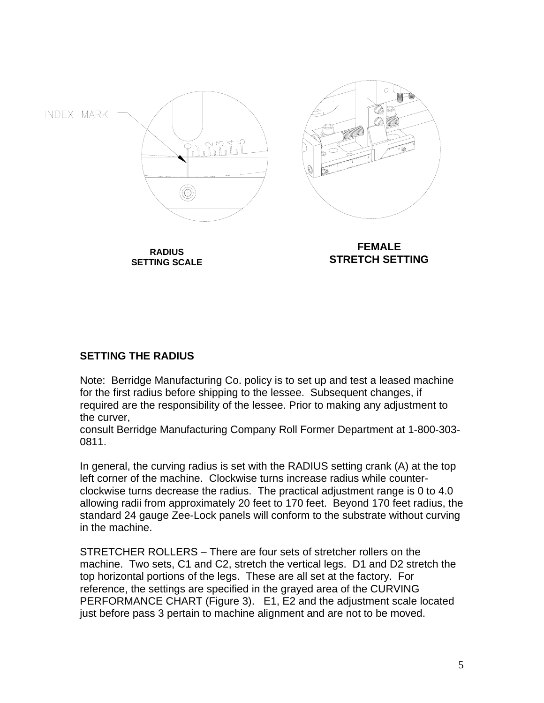

#### **SETTING THE RADIUS**

Note: Berridge Manufacturing Co. policy is to set up and test a leased machine for the first radius before shipping to the lessee. Subsequent changes, if required are the responsibility of the lessee. Prior to making any adjustment to the curver,

consult Berridge Manufacturing Company Roll Former Department at 1-800-303- 0811.

In general, the curving radius is set with the RADIUS setting crank (A) at the top left corner of the machine. Clockwise turns increase radius while counterclockwise turns decrease the radius. The practical adjustment range is 0 to 4.0 allowing radii from approximately 20 feet to 170 feet. Beyond 170 feet radius, the standard 24 gauge Zee-Lock panels will conform to the substrate without curving in the machine.

STRETCHER ROLLERS – There are four sets of stretcher rollers on the machine. Two sets, C1 and C2, stretch the vertical legs. D1 and D2 stretch the top horizontal portions of the legs. These are all set at the factory. For reference, the settings are specified in the grayed area of the CURVING PERFORMANCE CHART (Figure 3). E1, E2 and the adjustment scale located just before pass 3 pertain to machine alignment and are not to be moved.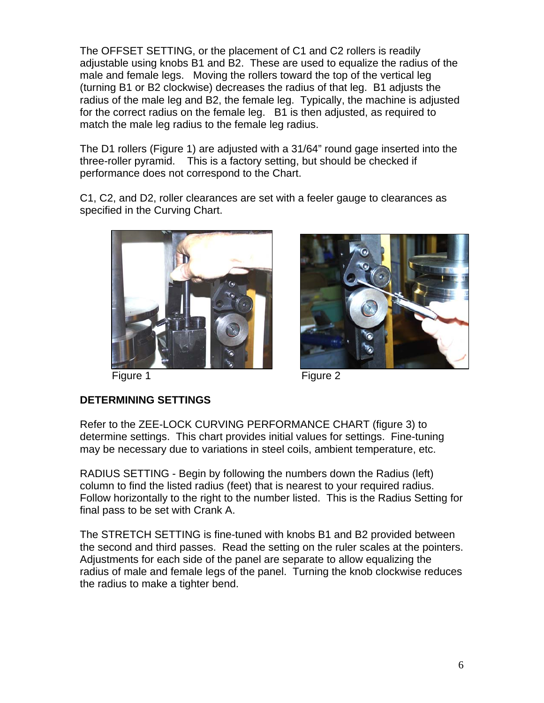The OFFSET SETTING, or the placement of C1 and C2 rollers is readily adjustable using knobs B1 and B2. These are used to equalize the radius of the male and female legs. Moving the rollers toward the top of the vertical leg (turning B1 or B2 clockwise) decreases the radius of that leg. B1 adjusts the radius of the male leg and B2, the female leg. Typically, the machine is adjusted for the correct radius on the female leg. B1 is then adjusted, as required to match the male leg radius to the female leg radius.

The D1 rollers (Figure 1) are adjusted with a 31/64" round gage inserted into the three-roller pyramid. This is a factory setting, but should be checked if performance does not correspond to the Chart.

C1, C2, and D2, roller clearances are set with a feeler gauge to clearances as specified in the Curving Chart.



Figure 1 Figure 2



#### **DETERMINING SETTINGS**

Refer to the ZEE-LOCK CURVING PERFORMANCE CHART (figure 3) to determine settings. This chart provides initial values for settings. Fine-tuning may be necessary due to variations in steel coils, ambient temperature, etc.

RADIUS SETTING - Begin by following the numbers down the Radius (left) column to find the listed radius (feet) that is nearest to your required radius. Follow horizontally to the right to the number listed. This is the Radius Setting for final pass to be set with Crank A.

The STRETCH SETTING is fine-tuned with knobs B1 and B2 provided between the second and third passes. Read the setting on the ruler scales at the pointers. Adjustments for each side of the panel are separate to allow equalizing the radius of male and female legs of the panel. Turning the knob clockwise reduces the radius to make a tighter bend.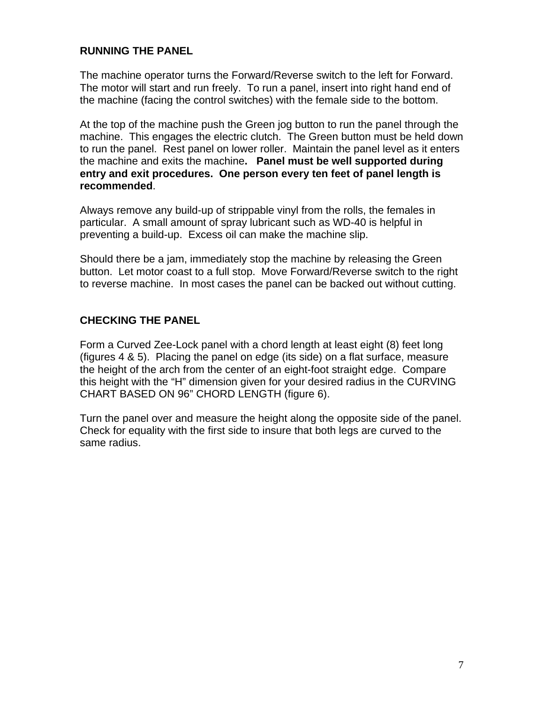#### **RUNNING THE PANEL**

The machine operator turns the Forward/Reverse switch to the left for Forward. The motor will start and run freely. To run a panel, insert into right hand end of the machine (facing the control switches) with the female side to the bottom.

At the top of the machine push the Green jog button to run the panel through the machine. This engages the electric clutch. The Green button must be held down to run the panel. Rest panel on lower roller. Maintain the panel level as it enters the machine and exits the machine**. Panel must be well supported during entry and exit procedures. One person every ten feet of panel length is recommended**.

Always remove any build-up of strippable vinyl from the rolls, the females in particular. A small amount of spray lubricant such as WD-40 is helpful in preventing a build-up. Excess oil can make the machine slip.

Should there be a jam, immediately stop the machine by releasing the Green button. Let motor coast to a full stop. Move Forward/Reverse switch to the right to reverse machine. In most cases the panel can be backed out without cutting.

#### **CHECKING THE PANEL**

Form a Curved Zee-Lock panel with a chord length at least eight (8) feet long (figures 4 & 5). Placing the panel on edge (its side) on a flat surface, measure the height of the arch from the center of an eight-foot straight edge. Compare this height with the "H" dimension given for your desired radius in the CURVING CHART BASED ON 96" CHORD LENGTH (figure 6).

Turn the panel over and measure the height along the opposite side of the panel. Check for equality with the first side to insure that both legs are curved to the same radius.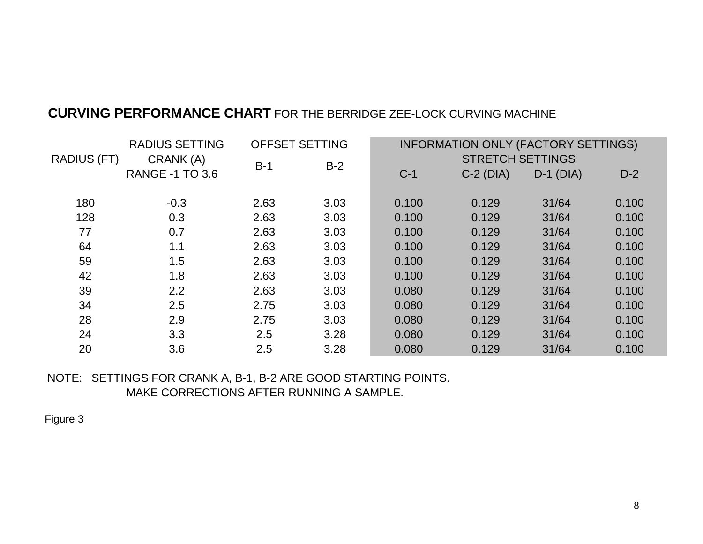### **CURVING PERFORMANCE CHART** FOR THE BERRIDGE ZEE-LOCK CURVING MACHINE

|                    | <b>RADIUS SETTING</b><br>CRANK (A)<br><b>RANGE -1 TO 3.6</b> | <b>OFFSET SETTING</b> |       | INFORMATION ONLY (FACTORY SETTINGS) |                 |                 |       |
|--------------------|--------------------------------------------------------------|-----------------------|-------|-------------------------------------|-----------------|-----------------|-------|
| <b>RADIUS (FT)</b> |                                                              | $B-1$                 | $B-2$ | <b>STRETCH SETTINGS</b>             |                 |                 |       |
|                    |                                                              |                       |       | $C-1$                               | $C-2$ ( $DIA$ ) | $D-1$ ( $DIA$ ) | $D-2$ |
| 180                | $-0.3$                                                       | 2.63                  | 3.03  | 0.100                               | 0.129           | 31/64           | 0.100 |
| 128                | 0.3                                                          | 2.63                  | 3.03  | 0.100                               | 0.129           | 31/64           | 0.100 |
| 77                 | 0.7                                                          | 2.63                  | 3.03  | 0.100                               | 0.129           | 31/64           | 0.100 |
| 64                 | 1.1                                                          | 2.63                  | 3.03  | 0.100                               | 0.129           | 31/64           | 0.100 |
| 59                 | 1.5                                                          | 2.63                  | 3.03  | 0.100                               | 0.129           | 31/64           | 0.100 |
| 42                 | 1.8                                                          | 2.63                  | 3.03  | 0.100                               | 0.129           | 31/64           | 0.100 |
| 39                 | 2.2                                                          | 2.63                  | 3.03  | 0.080                               | 0.129           | 31/64           | 0.100 |
| 34                 | 2.5                                                          | 2.75                  | 3.03  | 0.080                               | 0.129           | 31/64           | 0.100 |
| 28                 | 2.9                                                          | 2.75                  | 3.03  | 0.080                               | 0.129           | 31/64           | 0.100 |
| 24                 | 3.3                                                          | 2.5                   | 3.28  | 0.080                               | 0.129           | 31/64           | 0.100 |
| 20                 | 3.6                                                          | 2.5                   | 3.28  | 0.080                               | 0.129           | 31/64           | 0.100 |

NOTE: SETTINGS FOR CRANK A, B-1, B-2 ARE GOOD STARTING POINTS. MAKE CORRECTIONS AFTER RUNNING A SAMPLE.

Figure 3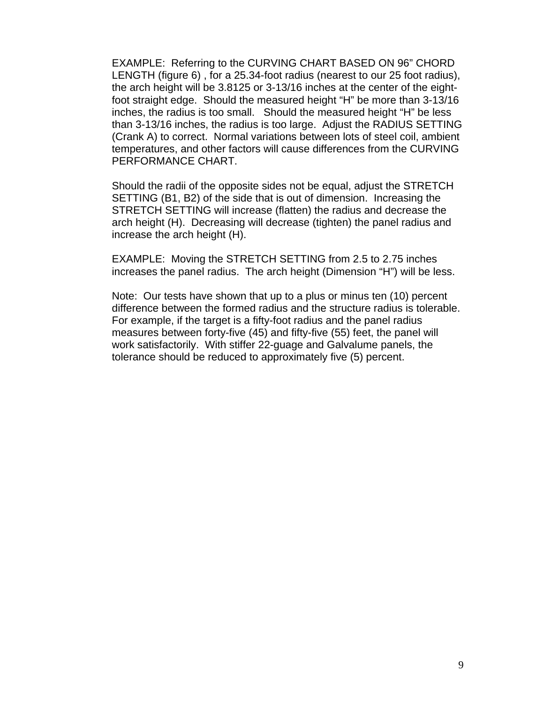EXAMPLE: Referring to the CURVING CHART BASED ON 96" CHORD LENGTH (figure 6) , for a 25.34-foot radius (nearest to our 25 foot radius), the arch height will be 3.8125 or 3-13/16 inches at the center of the eightfoot straight edge. Should the measured height "H" be more than 3-13/16 inches, the radius is too small. Should the measured height "H" be less than 3-13/16 inches, the radius is too large. Adjust the RADIUS SETTING (Crank A) to correct. Normal variations between lots of steel coil, ambient temperatures, and other factors will cause differences from the CURVING PERFORMANCE CHART.

Should the radii of the opposite sides not be equal, adjust the STRETCH SETTING (B1, B2) of the side that is out of dimension. Increasing the STRETCH SETTING will increase (flatten) the radius and decrease the arch height (H). Decreasing will decrease (tighten) the panel radius and increase the arch height (H).

EXAMPLE: Moving the STRETCH SETTING from 2.5 to 2.75 inches increases the panel radius. The arch height (Dimension "H") will be less.

Note: Our tests have shown that up to a plus or minus ten (10) percent difference between the formed radius and the structure radius is tolerable. For example, if the target is a fifty-foot radius and the panel radius measures between forty-five (45) and fifty-five (55) feet, the panel will work satisfactorily. With stiffer 22-guage and Galvalume panels, the tolerance should be reduced to approximately five (5) percent.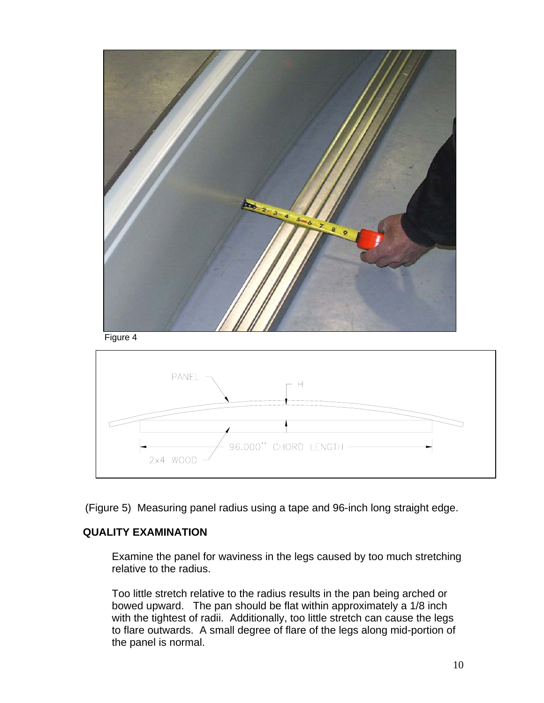



(Figure 5) Measuring panel radius using a tape and 96-inch long straight edge.

#### **QUALITY EXAMINATION**

Examine the panel for waviness in the legs caused by too much stretching relative to the radius.

Too little stretch relative to the radius results in the pan being arched or bowed upward. The pan should be flat within approximately a 1/8 inch with the tightest of radii. Additionally, too little stretch can cause the legs to flare outwards. A small degree of flare of the legs along mid-portion of the panel is normal.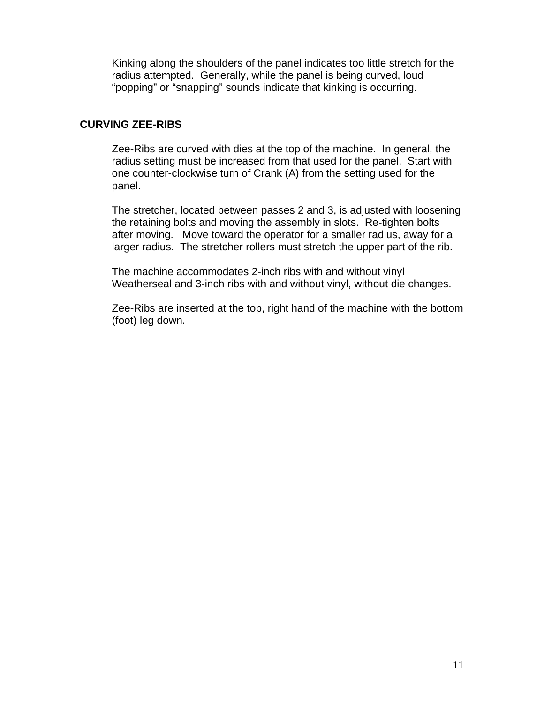Kinking along the shoulders of the panel indicates too little stretch for the radius attempted. Generally, while the panel is being curved, loud "popping" or "snapping" sounds indicate that kinking is occurring.

#### **CURVING ZEE-RIBS**

Zee-Ribs are curved with dies at the top of the machine. In general, the radius setting must be increased from that used for the panel. Start with one counter-clockwise turn of Crank (A) from the setting used for the panel.

The stretcher, located between passes 2 and 3, is adjusted with loosening the retaining bolts and moving the assembly in slots. Re-tighten bolts after moving. Move toward the operator for a smaller radius, away for a larger radius. The stretcher rollers must stretch the upper part of the rib.

The machine accommodates 2-inch ribs with and without vinyl Weatherseal and 3-inch ribs with and without vinyl, without die changes.

Zee-Ribs are inserted at the top, right hand of the machine with the bottom (foot) leg down.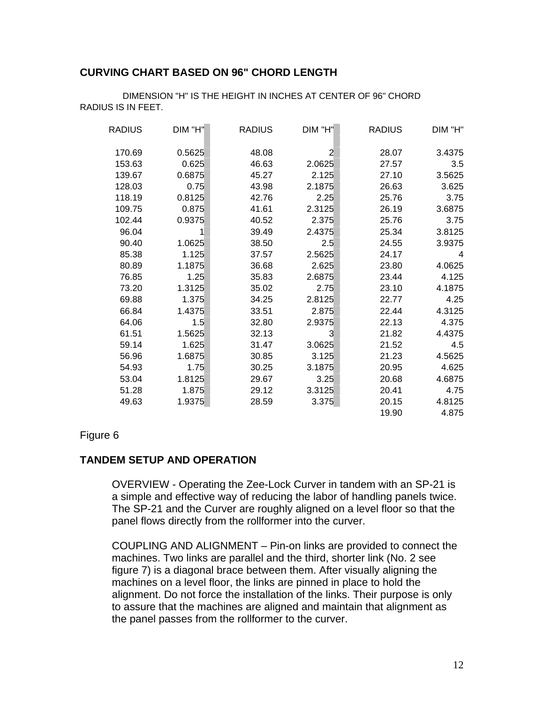#### **CURVING CHART BASED ON 96" CHORD LENGTH**

| <b>RADIUS</b> | DIM "H" | <b>RADIUS</b> | DIM "H"        | <b>RADIUS</b> | DIM "H" |
|---------------|---------|---------------|----------------|---------------|---------|
| 170.69        | 0.5625  | 48.08         | $\overline{2}$ | 28.07         | 3.4375  |
| 153.63        | 0.625   | 46.63         | 2.0625         | 27.57         | 3.5     |
| 139.67        | 0.6875  | 45.27         | 2.125          | 27.10         | 3.5625  |
| 128.03        | 0.75    | 43.98         | 2.1875         | 26.63         | 3.625   |
| 118.19        | 0.8125  | 42.76         | 2.25           | 25.76         | 3.75    |
| 109.75        | 0.875   | 41.61         | 2.3125         | 26.19         | 3.6875  |
| 102.44        | 0.9375  | 40.52         | 2.375          | 25.76         | 3.75    |
| 96.04         |         | 39.49         | 2.4375         | 25.34         | 3.8125  |
| 90.40         | 1.0625  | 38.50         | 2.5            | 24.55         | 3.9375  |
| 85.38         | 1.125   | 37.57         | 2.5625         | 24.17         | 4       |
| 80.89         | 1.1875  | 36.68         | 2.625          | 23.80         | 4.0625  |
| 76.85         | 1.25    | 35.83         | 2.6875         | 23.44         | 4.125   |
| 73.20         | 1.3125  | 35.02         | 2.75           | 23.10         | 4.1875  |
| 69.88         | 1.375   | 34.25         | 2.8125         | 22.77         | 4.25    |
| 66.84         | 1.4375  | 33.51         | 2.875          | 22.44         | 4.3125  |
| 64.06         | 1.5     | 32.80         | 2.9375         | 22.13         | 4.375   |
| 61.51         | 1.5625  | 32.13         | 3              | 21.82         | 4.4375  |
| 59.14         | 1.625   | 31.47         | 3.0625         | 21.52         | 4.5     |
| 56.96         | 1.6875  | 30.85         | 3.125          | 21.23         | 4.5625  |
| 54.93         | 1.75    | 30.25         | 3.1875         | 20.95         | 4.625   |
| 53.04         | 1.8125  | 29.67         | 3.25           | 20.68         | 4.6875  |
| 51.28         | 1.875   | 29.12         | 3.3125         | 20.41         | 4.75    |
| 49.63         | 1.9375  | 28.59         | 3.375          | 20.15         | 4.8125  |
|               |         |               |                | 19.90         | 4.875   |

DIMENSION "H" IS THE HEIGHT IN INCHES AT CENTER OF 96" CHORD RADIUS IS IN FEET.

#### Figure 6

#### **TANDEM SETUP AND OPERATION**

OVERVIEW - Operating the Zee-Lock Curver in tandem with an SP-21 is a simple and effective way of reducing the labor of handling panels twice. The SP-21 and the Curver are roughly aligned on a level floor so that the panel flows directly from the rollformer into the curver.

COUPLING AND ALIGNMENT – Pin-on links are provided to connect the machines. Two links are parallel and the third, shorter link (No. 2 see figure 7) is a diagonal brace between them. After visually aligning the machines on a level floor, the links are pinned in place to hold the alignment. Do not force the installation of the links. Their purpose is only to assure that the machines are aligned and maintain that alignment as the panel passes from the rollformer to the curver.